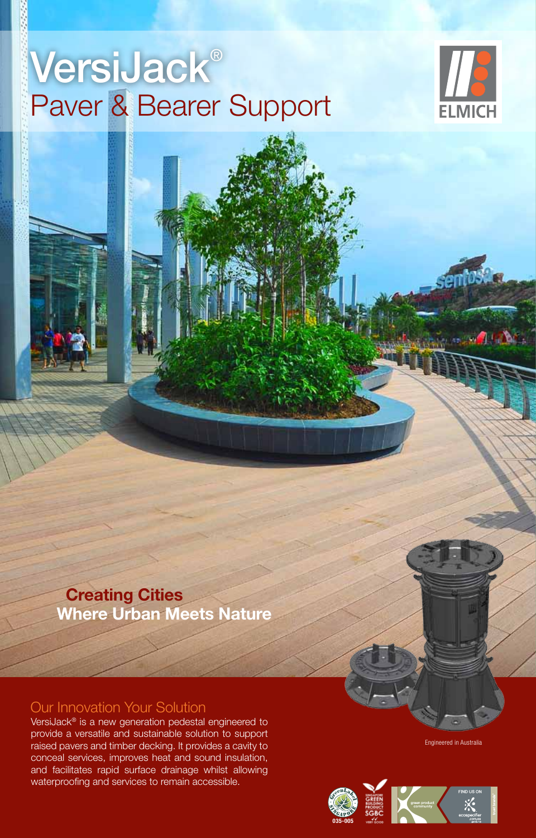## VersiJack® Paver & Bearer Support



VersiJack® Height Chart

 **Creating Cities Where Urban Meets Nature**

#### Our Innovation Your Solution

VersiJack® is a new generation pedestal engineered to provide a versatile and sustainable solution to support raised pavers and timber decking. It provides a cavity to conceal services, improves heat and sound insulation, and facilitates rapid surface drainage whilst allowing waterproofing and services to remain accessible.

Engineered in Australia

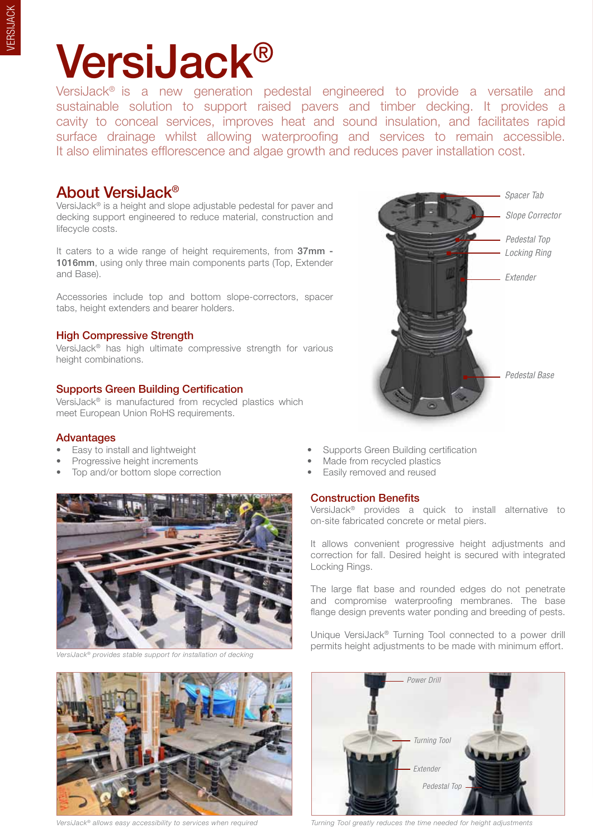# VersiJack®

VersiJack® is a new generation pedestal engineered to provide a versatile and sustainable solution to support raised pavers and timber decking. It provides a cavity to conceal services, improves heat and sound insulation, and facilitates rapid surface drainage whilst allowing waterproofing and services to remain accessible. It also eliminates efflorescence and algae growth and reduces paver installation cost.

#### About VersiJack®

VersiJack® is a height and slope adjustable pedestal for paver and decking support engineered to reduce material, construction and lifecycle costs.

It caters to a wide range of height requirements, from 37mm -1016mm, using only three main components parts (Top, Extender and Base).

Accessories include top and bottom slope-correctors, spacer tabs, height extenders and bearer holders.

#### High Compressive Strength

VersiJack® has high ultimate compressive strength for various height combinations.

#### Supports Green Building Certification

VersiJack® is manufactured from recycled plastics which meet European Union RoHS requirements.

#### Advantages

- 
- 
- Top and/or bottom slope correction Easily removed and reused



*VersiJack® provides stable support for installation of decking* 



*VersiJack® allows easy accessibility to services when required*

- Easy to install and lightweight Supports Green Building certification
- Progressive height increments Made from recycled plastics
	-

#### Construction Benefits

VersiJack® provides a quick to install alternative to on-site fabricated concrete or metal piers.

*Slope Corrector*

*Spacer Tab*

*Locking Ring*

*Pedestal Top*

*Pedestal Base*

*Extender*

It allows convenient progressive height adjustments and correction for fall. Desired height is secured with integrated Locking Rings.

The large flat base and rounded edges do not penetrate and compromise waterproofing membranes. The base flange design prevents water ponding and breeding of pests.

Unique VersiJack® Turning Tool connected to a power drill permits height adjustments to be made with minimum effort.



*Turning Tool greatly reduces the time needed for height adjustments*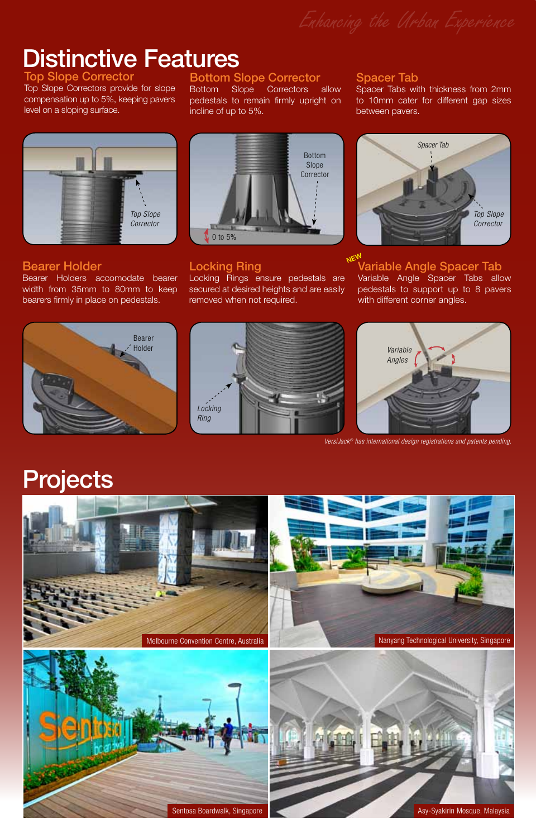Distinctive Features

Top Slope C Top Slope Correctors provide for slope compensation up to 5%, keeping pavers

level on a sloping surface.

#### Bottom Slope Corrector

Bottom Slope Correctors allow pedestals to remain firmly upright on incline of up to 5%.

# *Top Slope Corrector*

#### Bearer Holder

Bearer Holders accomodate bearer width from 35mm to 80mm to keep bearers firmly in place on pedestals.



#### Locking Ring

Locking Rings ensure pedestals are secured at desired heights and are easily removed when not required.

#### Spacer Tab

Spacer Tabs with thickness from 2mm to 10mm cater for different gap sizes between pavers.



#### Variable Angle Spacer Tab **NEW**

Variable Angle Spacer Tabs allow pedestals to support up to 8 pavers with different corner angles.







*VersiJack® has international design registrations and patents pending.*

## Projects